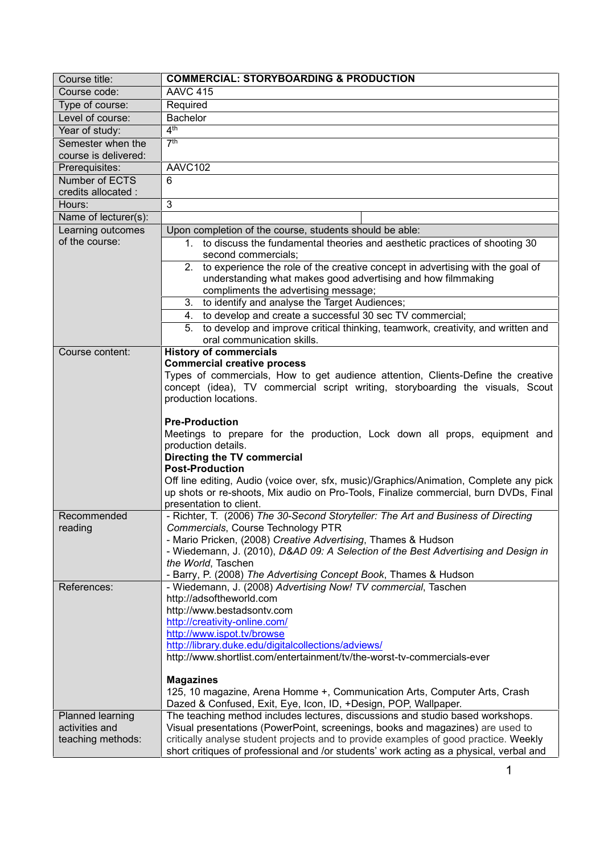| Course title:                 | <b>COMMERCIAL: STORYBOARDING &amp; PRODUCTION</b>                                                                                  |
|-------------------------------|------------------------------------------------------------------------------------------------------------------------------------|
| Course code:                  | <b>AAVC 415</b>                                                                                                                    |
| Type of course:               | Required                                                                                                                           |
| Level of course:              | <b>Bachelor</b>                                                                                                                    |
| Year of study:                | 4 <sup>th</sup>                                                                                                                    |
| Semester when the             | 7 <sup>th</sup>                                                                                                                    |
| course is delivered:          |                                                                                                                                    |
| Prerequisites:                | AAVC102                                                                                                                            |
| Number of ECTS                | 6                                                                                                                                  |
| credits allocated :<br>Hours: | 3                                                                                                                                  |
| Name of lecturer(s):          |                                                                                                                                    |
| Learning outcomes             | Upon completion of the course, students should be able:                                                                            |
| of the course:                | 1. to discuss the fundamental theories and aesthetic practices of shooting 30                                                      |
|                               | second commercials;                                                                                                                |
|                               | 2. to experience the role of the creative concept in advertising with the goal of                                                  |
|                               | understanding what makes good advertising and how filmmaking                                                                       |
|                               | compliments the advertising message;                                                                                               |
|                               | 3. to identify and analyse the Target Audiences;                                                                                   |
|                               | to develop and create a successful 30 sec TV commercial;<br>4.                                                                     |
|                               | to develop and improve critical thinking, teamwork, creativity, and written and<br>5.                                              |
|                               | oral communication skills.                                                                                                         |
| Course content:               | <b>History of commercials</b>                                                                                                      |
|                               | <b>Commercial creative process</b><br>Types of commercials, How to get audience attention, Clients-Define the creative             |
|                               | concept (idea), TV commercial script writing, storyboarding the visuals, Scout                                                     |
|                               | production locations.                                                                                                              |
|                               |                                                                                                                                    |
|                               | <b>Pre-Production</b>                                                                                                              |
|                               | Meetings to prepare for the production, Lock down all props, equipment and                                                         |
|                               | production details.                                                                                                                |
|                               | Directing the TV commercial<br><b>Post-Production</b>                                                                              |
|                               | Off line editing, Audio (voice over, sfx, music)/Graphics/Animation, Complete any pick                                             |
|                               | up shots or re-shoots, Mix audio on Pro-Tools, Finalize commercial, burn DVDs, Final                                               |
|                               | presentation to client.                                                                                                            |
| Recommended                   | - Richter, T. (2006) The 30-Second Storyteller: The Art and Business of Directing                                                  |
| reading                       | Commercials, Course Technology PTR                                                                                                 |
|                               | - Mario Pricken, (2008) Creative Advertising, Thames & Hudson                                                                      |
|                               | - Wiedemann, J. (2010), D&AD 09: A Selection of the Best Advertising and Design in                                                 |
|                               | the World, Taschen                                                                                                                 |
| References:                   | - Barry, P. (2008) The Advertising Concept Book, Thames & Hudson<br>- Wiedemann, J. (2008) Advertising Now! TV commercial, Taschen |
|                               | http://adsoftheworld.com                                                                                                           |
|                               | http://www.bestadsontv.com                                                                                                         |
|                               | http://creativity-online.com/                                                                                                      |
|                               | http://www.ispot.tv/browse                                                                                                         |
|                               | http://library.duke.edu/digitalcollections/adviews/                                                                                |
|                               | http://www.shortlist.com/entertainment/tv/the-worst-tv-commercials-ever                                                            |
|                               | <b>Magazines</b>                                                                                                                   |
|                               | 125, 10 magazine, Arena Homme +, Communication Arts, Computer Arts, Crash                                                          |
|                               | Dazed & Confused, Exit, Eye, Icon, ID, +Design, POP, Wallpaper.                                                                    |
| Planned learning              | The teaching method includes lectures, discussions and studio based workshops.                                                     |
| activities and                | Visual presentations (PowerPoint, screenings, books and magazines) are used to                                                     |
| teaching methods:             | critically analyse student projects and to provide examples of good practice. Weekly                                               |
|                               | short critiques of professional and /or students' work acting as a physical, verbal and                                            |